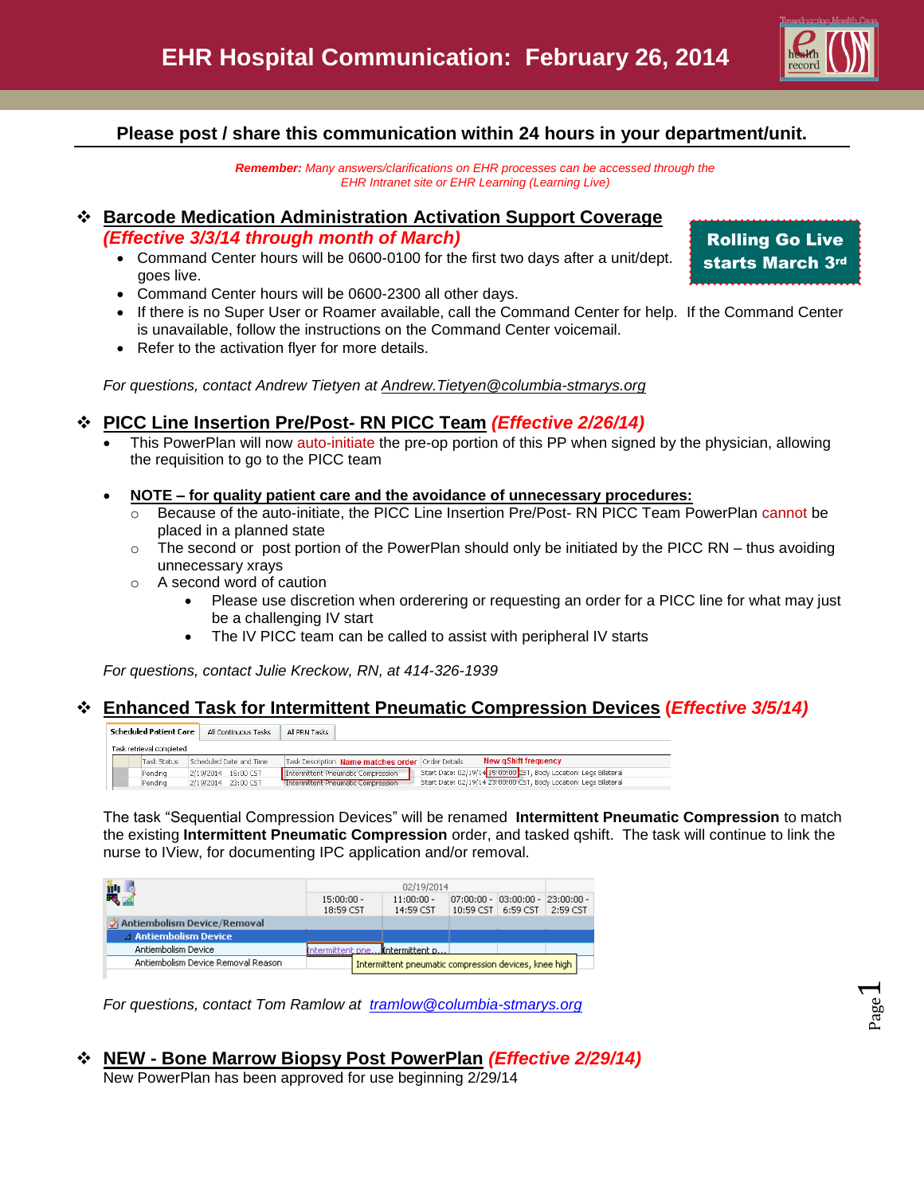

Page  $\overline{\phantom{0}}$ 

### **Please post / share this communication within 24 hours in your department/unit.**

*Remember: Many answers/clarifications on EHR processes can be accessed through the EHR Intranet site or EHR Learning (Learning Live)*

# **Barcode Medication Administration Activation Support Coverage**

*(Effective 3/3/14 through month of March)*

- Command Center hours will be 0600-0100 for the first two days after a unit/dept. goes live.
- Command Center hours will be 0600-2300 all other days.
- If there is no Super User or Roamer available, call the Command Center for help. If the Command Center is unavailable, follow the instructions on the Command Center voicemail.
- Refer to the activation flyer for more details.

*For questions, contact Andrew Tietyen at [Andrew.Tietyen@columbia-stmarys.org](mailto:Andrew.Tietyen@columbia-stmarys.org)*

### **PICC Line Insertion Pre/Post- RN PICC Team** *(Effective 2/26/14)*

- This PowerPlan will now auto-initiate the pre-op portion of this PP when signed by the physician, allowing the requisition to go to the PICC team
- **NOTE – for quality patient care and the avoidance of unnecessary procedures:**
	- o Because of the auto-initiate, the PICC Line Insertion Pre/Post- RN PICC Team PowerPlan cannot be placed in a planned state
	- $\circ$  The second or post portion of the PowerPlan should only be initiated by the PICC RN thus avoiding unnecessary xrays
	- o A second word of caution
		- Please use discretion when orderering or requesting an order for a PICC line for what may just be a challenging IV start
		- The IV PICC team can be called to assist with peripheral IV starts

*For questions, contact Julie Kreckow, RN, at 414-326-1939*

#### **Enhanced Task for Intermittent Pneumatic Compression Devices (***Effective 3/5/14)*

| Scheduled Patient Care   |             | All Continuous Tasks    | All PRN Tasks                                                                                                 |  |  |  |  |  |  |  |
|--------------------------|-------------|-------------------------|---------------------------------------------------------------------------------------------------------------|--|--|--|--|--|--|--|
| Task retrieval completed |             |                         |                                                                                                               |  |  |  |  |  |  |  |
|                          | Task Status | Scheduled Date and Time | <b>New gShift frequency</b><br>Task Description Name matches order Order Details                              |  |  |  |  |  |  |  |
|                          | Pendina     | 2/19/2014 15:00 CST     | Start Date: 02/19/14 15:00:00 ST, Body Location: Legs Bilateral<br>Intermittent Pneumatic Compression         |  |  |  |  |  |  |  |
|                          | Pendina     | 2/19/2014 23:00 CST     | Start Date: 02/19/14 23:00:00 CST, Body Location: Legs Bilateral<br><b>Intermittent Pneumatic Compression</b> |  |  |  |  |  |  |  |

The task "Sequential Compression Devices" will be renamed **Intermittent Pneumatic Compression** to match the existing **Intermittent Pneumatic Compression** order, and tasked qshift. The task will continue to link the nurse to IView, for documenting IPC application and/or removal.

| 闓                                  | 02/19/2014                |                                                       |                                           |                      |                           |                           |  |
|------------------------------------|---------------------------|-------------------------------------------------------|-------------------------------------------|----------------------|---------------------------|---------------------------|--|
|                                    | $15:00:00 -$<br>18:59 CST |                                                       | $11:00:00 -$<br>14:59 CST                 | 10:59 CST   6:59 CST | $ 07;00;00 - 103;00;00 -$ | $ 23:00:00 -$<br>2:59 CST |  |
| Antiembolism Device/Removal        |                           |                                                       |                                           |                      |                           |                           |  |
| $\triangle$ Antiembolism Device    |                           |                                                       |                                           |                      |                           |                           |  |
| Antiembolism Device                |                           |                                                       | termittent pne <b>.i(ntermittent p</b> .) |                      |                           |                           |  |
| Antiembolism Device Removal Reason |                           | Intermittent pneumatic compression devices, knee high |                                           |                      |                           |                           |  |

*For questions, contact Tom Ramlow at [tramlow@columbia-stmarys.org](../../kschmid1/AppData/Local/Microsoft/Windows/Temporary%20Internet%20Files/Content.Outlook/J6Y3COVM/tramlow@columbia-stmarys.org)*

# **NEW - Bone Marrow Biopsy Post PowerPlan** *(Effective 2/29/14)*

New PowerPlan has been approved for use beginning 2/29/14

Rolling Go Live starts March 3rd